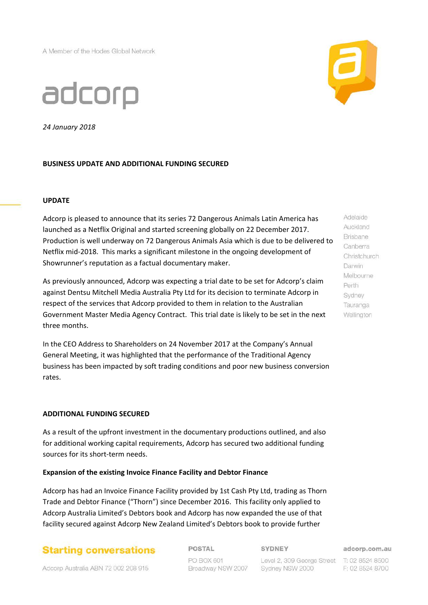A Member of the Hodes Global Network



*24 January 2018*

## **BUSINESS UPDATE AND ADDITIONAL FUNDING SECURED**

## **UPDATE**

Adcorp is pleased to announce that its series 72 Dangerous Animals Latin America has launched as a Netflix Original and started screening globally on 22 December 2017. Production is well underway on 72 Dangerous Animals Asia which is due to be delivered to Netflix mid-2018. This marks a significant milestone in the ongoing development of Showrunner's reputation as a factual documentary maker.

As previously announced, Adcorp was expecting a trial date to be set for Adcorp's claim against Dentsu Mitchell Media Australia Pty Ltd for its decision to terminate Adcorp in respect of the services that Adcorp provided to them in relation to the Australian Government Master Media Agency Contract. This trial date is likely to be set in the next three months.

In the CEO Address to Shareholders on 24 November 2017 at the Company's Annual General Meeting, it was highlighted that the performance of the Traditional Agency business has been impacted by soft trading conditions and poor new business conversion rates.

## **ADDITIONAL FUNDING SECURED**

As a result of the upfront investment in the documentary productions outlined, and also for additional working capital requirements, Adcorp has secured two additional funding sources for its short-term needs.

## **Expansion of the existing Invoice Finance Facility and Debtor Finance**

Adcorp has had an Invoice Finance Facility provided by 1st Cash Pty Ltd, trading as Thorn Trade and Debtor Finance ("Thorn") since December 2016. This facility only applied to Adcorp Australia Limited's Debtors book and Adcorp has now expanded the use of that facility secured against Adcorp New Zealand Limited's Debtors book to provide further

## **Starting conversations**

**POSTAL** 

#### **SYDNEY**

PO BOX 601 Broadway NSW 2007

Level 2, 309 George Street T: 02 8524 8500 Sydney NSW 2000

adcorp.com.au

F: 02 8524 8700

Adelaide Auckland **Brisbane** Canberra Christchurch Darwin Melbourne Perth Sydney Tauranga Wellington

Adcorp Australia ABN 72 002 208 915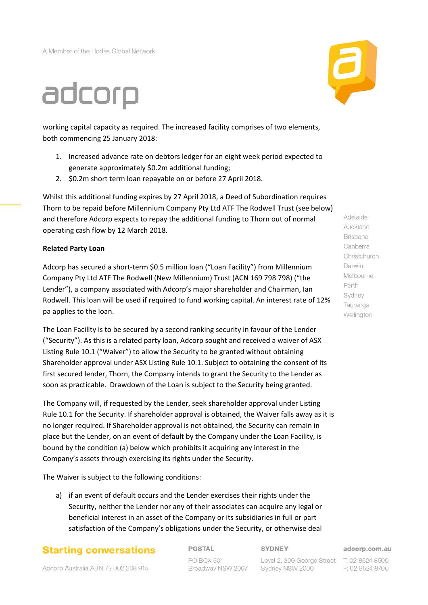A Member of the Hodes Global Network

# adcorp

working capital capacity as required. The increased facility comprises of two elements, both commencing 25 January 2018:

- 1. Increased advance rate on debtors ledger for an eight week period expected to generate approximately \$0.2m additional funding;
- 2. \$0.2m short term loan repayable on or before 27 April 2018.

Whilst this additional funding expires by 27 April 2018, a Deed of Subordination requires Thorn to be repaid before Millennium Company Pty Ltd ATF The Rodwell Trust (see below) and therefore Adcorp expects to repay the additional funding to Thorn out of normal operating cash flow by 12 March 2018.

## **Related Party Loan**

Adcorp has secured a short-term \$0.5 million loan ("Loan Facility") from Millennium Company Pty Ltd ATF The Rodwell (New Millennium) Trust (ACN 169 798 798) ("the Lender"), a company associated with Adcorp's major shareholder and Chairman, Ian Rodwell. This loan will be used if required to fund working capital. An interest rate of 12% pa applies to the loan.

The Loan Facility is to be secured by a second ranking security in favour of the Lender ("Security"). As this is a related party loan, Adcorp sought and received a waiver of ASX Listing Rule 10.1 ("Waiver") to allow the Security to be granted without obtaining Shareholder approval under ASX Listing Rule 10.1. Subject to obtaining the consent of its first secured lender, Thorn, the Company intends to grant the Security to the Lender as soon as practicable. Drawdown of the Loan is subject to the Security being granted.

The Company will, if requested by the Lender, seek shareholder approval under Listing Rule 10.1 for the Security. If shareholder approval is obtained, the Waiver falls away as it is no longer required. If Shareholder approval is not obtained, the Security can remain in place but the Lender, on an event of default by the Company under the Loan Facility, is bound by the condition (a) below which prohibits it acquiring any interest in the Company's assets through exercising its rights under the Security.

The Waiver is subject to the following conditions:

a) if an event of default occurs and the Lender exercises their rights under the Security, neither the Lender nor any of their associates can acquire any legal or beneficial interest in an asset of the Company or its subsidiaries in full or part satisfaction of the Company's obligations under the Security, or otherwise deal

## **Starting conversations**

**POSTAL** 

#### **SYDNEY**

PO BOX 601 Broadway NSW 2007

Level 2, 309 George Street T: 02 8524 8500 Sydney NSW 2000

adcorp.com.au

F: 02 8524 8700



Auckland **Brisbane** Canberra Christchurch Darwin Melbourne Perth Sydney Tauranga Wellington

Adelaide

Adcorp Australia ABN 72 002 208 915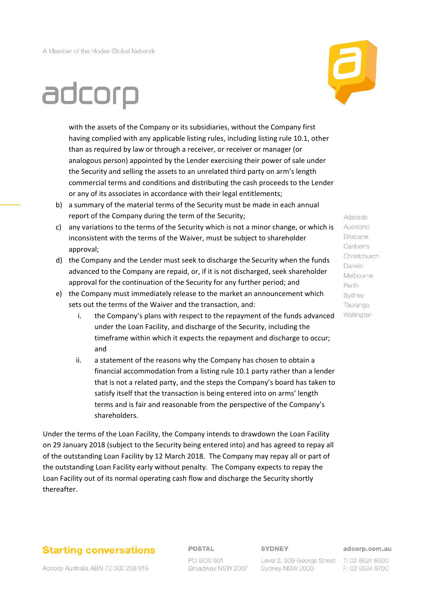

# adcorp

with the assets of the Company or its subsidiaries, without the Company first having complied with any applicable listing rules, including listing rule 10.1, other than as required by law or through a receiver, or receiver or manager (or analogous person) appointed by the Lender exercising their power of sale under the Security and selling the assets to an unrelated third party on arm's length commercial terms and conditions and distributing the cash proceeds to the Lender or any of its associates in accordance with their legal entitlements;

- b) a summary of the material terms of the Security must be made in each annual report of the Company during the term of the Security;
- c) any variations to the terms of the Security which is not a minor change, or which is inconsistent with the terms of the Waiver, must be subject to shareholder approval;
- d) the Company and the Lender must seek to discharge the Security when the funds advanced to the Company are repaid, or, if it is not discharged, seek shareholder approval for the continuation of the Security for any further period; and
- e) the Company must immediately release to the market an announcement which sets out the terms of the Waiver and the transaction, and:
	- i. the Company's plans with respect to the repayment of the funds advanced under the Loan Facility, and discharge of the Security, including the timeframe within which it expects the repayment and discharge to occur; and
	- ii. a statement of the reasons why the Company has chosen to obtain a financial accommodation from a listing rule 10.1 party rather than a lender that is not a related party, and the steps the Company's board has taken to satisfy itself that the transaction is being entered into on arms' length terms and is fair and reasonable from the perspective of the Company's shareholders.

Under the terms of the Loan Facility, the Company intends to drawdown the Loan Facility on 29 January 2018 (subject to the Security being entered into) and has agreed to repay all of the outstanding Loan Facility by 12 March 2018. The Company may repay all or part of the outstanding Loan Facility early without penalty. The Company expects to repay the Loan Facility out of its normal operating cash flow and discharge the Security shortly thereafter.

## **Starting conversations**

## POSTAL

SYDNEY

adcorp.com.au

Adcorp Australia ABN 72 002 208 915

PO BOX 601 Broadway NSW 2007

Level 2, 309 George Street T: 02 8524 8500 Sydney NSW 2000

F: 02 8524 8700

Adelaide Auckland **Brisbane** Canberra Christchurch Darwin Melbourne Perth Sydney Tauranga Wellington